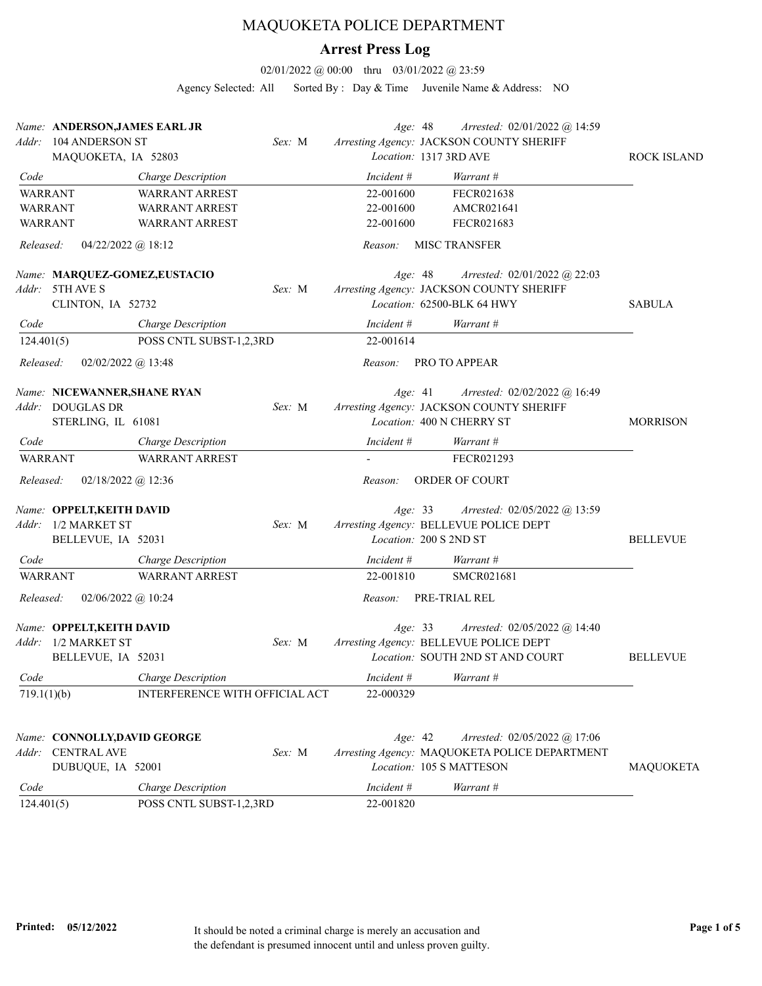## MAQUOKETA POLICE DEPARTMENT

## **Arrest Press Log**

02/01/2022 @ 00:00 thru 03/01/2022 @ 23:59

Agency Selected: All Sorted By : Day & Time Juvenile Name & Address: NO

| Addr:       | Name: ANDERSON, JAMES EARL JR<br>104 ANDERSON ST<br>MAQUOKETA, IA 52803 |                                | Sex: M | Age: 48    | Arrested: 02/01/2022 @ 14:59<br>Arresting Agency: JACKSON COUNTY SHERIFF<br>Location: 1317 3RD AVE                    | ROCK ISLAND     |
|-------------|-------------------------------------------------------------------------|--------------------------------|--------|------------|-----------------------------------------------------------------------------------------------------------------------|-----------------|
| Code        |                                                                         | Charge Description             |        | Incident # | Warrant #                                                                                                             |                 |
|             | <b>WARRANT</b>                                                          | <b>WARRANT ARREST</b>          |        | 22-001600  | FECR021638                                                                                                            |                 |
|             | <b>WARRANT</b>                                                          | <b>WARRANT ARREST</b>          |        | 22-001600  | AMCR021641                                                                                                            |                 |
|             | <b>WARRANT</b>                                                          | <b>WARRANT ARREST</b>          |        | 22-001600  | FECR021683                                                                                                            |                 |
| Released:   | $04/22/2022$ ( <i>a</i> ) 18:12                                         |                                |        | Reason:    | <b>MISC TRANSFER</b>                                                                                                  |                 |
|             | Name: MARQUEZ-GOMEZ,EUSTACIO<br>Addr: 5TH AVE S<br>CLINTON, IA 52732    |                                | Sex: M | Age: 48    | Arrested: 02/01/2022 @ 22:03<br>Arresting Agency: JACKSON COUNTY SHERIFF<br>Location: 62500-BLK 64 HWY                | <b>SABULA</b>   |
| Code        |                                                                         | Charge Description             |        | Incident # | Warrant #                                                                                                             |                 |
| 124.401(5)  |                                                                         | POSS CNTL SUBST-1,2,3RD        |        | 22-001614  |                                                                                                                       |                 |
| Released:   | $02/02/2022$ @ 13:48                                                    |                                |        | Reason:    | PRO TO APPEAR                                                                                                         |                 |
| Addr:       | Name: NICEWANNER, SHANE RYAN<br>DOUGLAS DR<br>STERLING, IL 61081        |                                | Sex: M | Age: 41    | Arrested: 02/02/2022 @ 16:49<br>Arresting Agency: JACKSON COUNTY SHERIFF<br>Location: 400 N CHERRY ST                 | <b>MORRISON</b> |
| Code        |                                                                         | Charge Description             |        | Incident # | Warrant #                                                                                                             |                 |
|             | <b>WARRANT</b>                                                          | <b>WARRANT ARREST</b>          |        |            | FECR021293                                                                                                            |                 |
| Released:   | $02/18/2022$ @ 12:36                                                    |                                |        | Reason:    | ORDER OF COURT                                                                                                        |                 |
|             | Name: OPPELT, KEITH DAVID<br>Addr: 1/2 MARKET ST<br>BELLEVUE, IA 52031  |                                | Sex: M | Age: 33    | <i>Arrested:</i> 02/05/2022 @ 13:59<br>Arresting Agency: BELLEVUE POLICE DEPT<br>Location: 200 S 2ND ST               | <b>BELLEVUE</b> |
| Code        |                                                                         | Charge Description             |        | Incident # | Warrant #                                                                                                             |                 |
|             | <b>WARRANT</b>                                                          | <b>WARRANT ARREST</b>          |        | 22-001810  | SMCR021681                                                                                                            |                 |
| Released:   | $02/06/2022$ @ 10:24                                                    |                                |        | Reason:    | PRE-TRIAL REL                                                                                                         |                 |
| Addr:       | Name: OPPELT, KEITH DAVID<br>1/2 MARKET ST<br>BELLEVUE, IA 52031        |                                | Sex: M |            | Age: 33<br>Arrested: 02/05/2022 @ 14:40<br>Arresting Agency: BELLEVUE POLICE DEPT<br>Location: SOUTH 2ND ST AND COURT | <b>BELLEVUE</b> |
| Code        |                                                                         | Charge Description             |        | Incident # | Warrant #                                                                                                             |                 |
| 719.1(1)(b) |                                                                         | INTERFERENCE WITH OFFICIAL ACT |        | 22-000329  |                                                                                                                       |                 |
|             | Name: CONNOLLY, DAVID GEORGE<br>Addr: CENTRAL AVE<br>DUBUQUE, IA 52001  |                                | Sex: M | Age: 42    | Arrested: 02/05/2022 @ 17:06<br>Arresting Agency: MAQUOKETA POLICE DEPARTMENT<br>Location: 105 S MATTESON             | MAQUOKETA       |
| Code        |                                                                         | Charge Description             |        | Incident # | Warrant #                                                                                                             |                 |
| 124.401(5)  |                                                                         | POSS CNTL SUBST-1,2,3RD        |        | 22-001820  |                                                                                                                       |                 |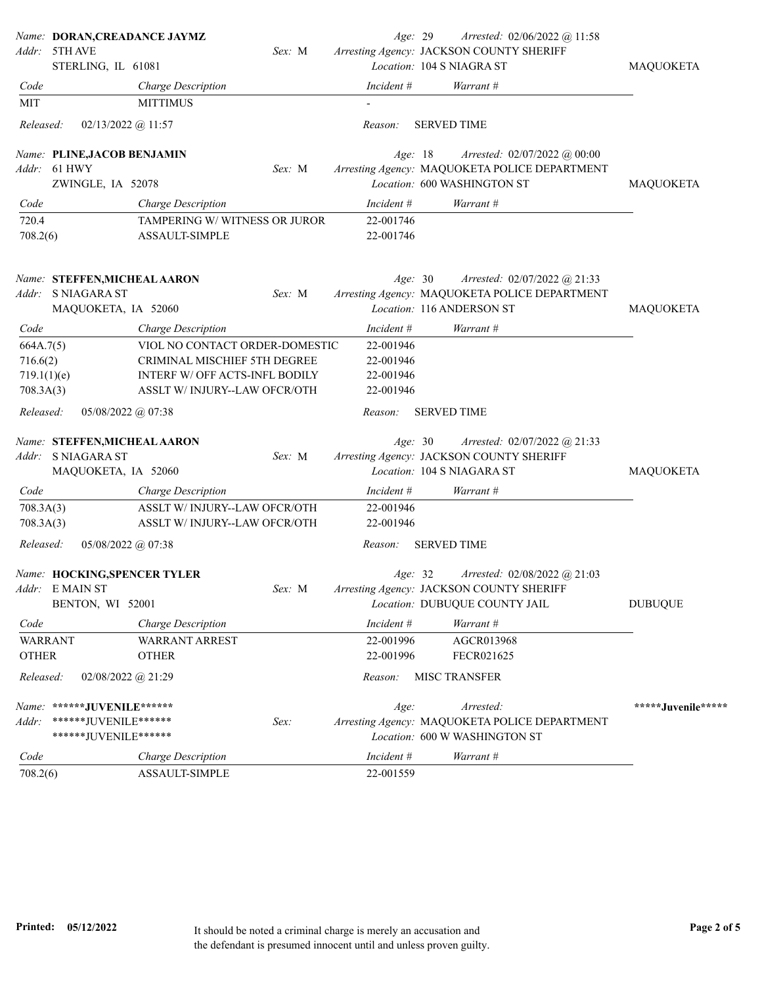|              | Name: DORAN, CREADANCE JAYMZ            |        |            | Arrested: 02/06/2022 @ 11:58<br>Age: 29       |                    |
|--------------|-----------------------------------------|--------|------------|-----------------------------------------------|--------------------|
| Addr:        | 5TH AVE                                 | Sex: M |            | Arresting Agency: JACKSON COUNTY SHERIFF      |                    |
|              | STERLING, IL 61081                      |        |            | Location: 104 S NIAGRA ST                     | <b>MAQUOKETA</b>   |
| Code         | Charge Description                      |        | Incident # | Warrant #                                     |                    |
| MIT          | <b>MITTIMUS</b>                         |        |            |                                               |                    |
| Released:    | $02/13/2022$ @ 11:57                    |        | Reason:    | <b>SERVED TIME</b>                            |                    |
|              | Name: PLINE, JACOB BENJAMIN             |        | Age: 18    | Arrested: $02/07/2022$ @ $00:00$              |                    |
|              | Addr: 61 HWY                            | Sex: M |            | Arresting Agency: MAQUOKETA POLICE DEPARTMENT |                    |
|              | ZWINGLE, IA 52078                       |        |            | Location: 600 WASHINGTON ST                   | MAQUOKETA          |
| Code         | Charge Description                      |        | Incident # | Warrant #                                     |                    |
| 720.4        | TAMPERING W/WITNESS OR JUROR            |        | 22-001746  |                                               |                    |
| 708.2(6)     | ASSAULT-SIMPLE                          |        | 22-001746  |                                               |                    |
|              | Name: STEFFEN, MICHEAL AARON            |        | Age: 30    | Arrested: 02/07/2022 @ 21:33                  |                    |
|              | Addr: S NIAGARA ST                      | Sex: M |            | Arresting Agency: MAQUOKETA POLICE DEPARTMENT |                    |
|              | MAQUOKETA, IA 52060                     |        |            | Location: 116 ANDERSON ST                     | MAQUOKETA          |
| Code         | Charge Description                      |        | Incident # | Warrant #                                     |                    |
| 664A.7(5)    | VIOL NO CONTACT ORDER-DOMESTIC          |        | 22-001946  |                                               |                    |
| 716.6(2)     | CRIMINAL MISCHIEF 5TH DEGREE            |        | 22-001946  |                                               |                    |
| 719.1(1)(e)  | INTERF W/ OFF ACTS-INFL BODILY          |        | 22-001946  |                                               |                    |
| 708.3A(3)    | ASSLT W/INJURY--LAW OFCR/OTH            |        | 22-001946  |                                               |                    |
| Released:    | $05/08/2022$ @ 07:38                    |        | Reason:    | <b>SERVED TIME</b>                            |                    |
|              | Name: STEFFEN, MICHEAL AARON            |        | Age: 30    | Arrested: 02/07/2022 @ 21:33                  |                    |
|              | Addr: S NIAGARA ST                      | Sex: M |            | Arresting Agency: JACKSON COUNTY SHERIFF      |                    |
|              | MAQUOKETA, IA 52060                     |        |            | Location: 104 S NIAGARA ST                    | MAQUOKETA          |
| Code         | Charge Description                      |        | Incident # | Warrant #                                     |                    |
| 708.3A(3)    | ASSLT W/INJURY--LAW OFCR/OTH            |        | 22-001946  |                                               |                    |
| 708.3A(3)    | ASSLT W/INJURY--LAW OFCR/OTH            |        | 22-001946  |                                               |                    |
| Released:    | $05/08/2022$ @ 07:38                    |        | Reason:    | <b>SERVED TIME</b>                            |                    |
|              | Name: HOCKING, SPENCER TYLER            |        | Age: 32    | Arrested: 02/08/2022 @ 21:03                  |                    |
|              | Addr: E MAIN ST                         | Sex: M |            | Arresting Agency: JACKSON COUNTY SHERIFF      |                    |
|              | BENTON, WI 52001                        |        |            | Location: DUBUQUE COUNTY JAIL                 | <b>DUBUQUE</b>     |
| Code         | Charge Description                      |        | Incident # | Warrant #                                     |                    |
|              | <b>WARRANT</b><br><b>WARRANT ARREST</b> |        | 22-001996  | AGCR013968                                    |                    |
| <b>OTHER</b> | <b>OTHER</b>                            |        | 22-001996  | FECR021625                                    |                    |
| Released:    | $02/08/2022$ (a) $21:29$                |        | Reason:    | <b>MISC TRANSFER</b>                          |                    |
|              | Name: ******JUVENILE******              |        | Age:       | Arrested:                                     | *****Juvenile***** |
| Addr:        | ******JUVENILE******                    | Sex:   |            | Arresting Agency: MAQUOKETA POLICE DEPARTMENT |                    |
|              | ****** JUVENILE******                   |        |            | Location: 600 W WASHINGTON ST                 |                    |
| Code         | Charge Description                      |        | Incident # | Warrant #                                     |                    |
| 708.2(6)     | ASSAULT-SIMPLE                          |        | 22-001559  |                                               |                    |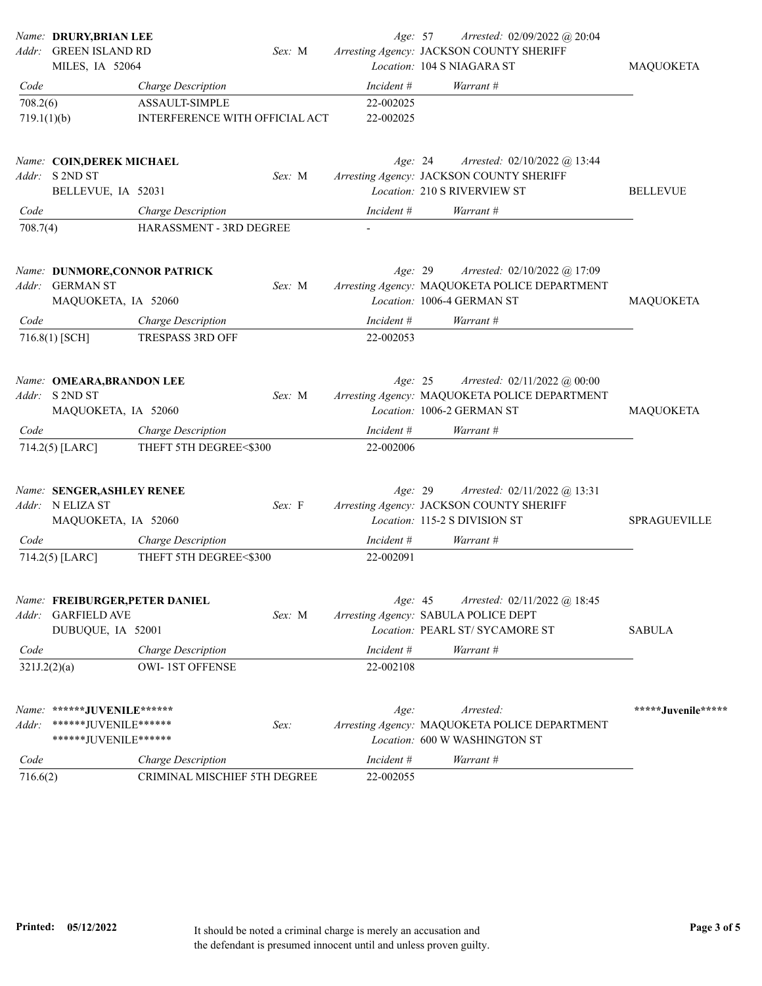| Addr:                   | Name: DRURY, BRIAN LEE<br><b>GREEN ISLAND RD</b>                            |                                                         | Sex: M | Age: 57                | Arrested: 02/09/2022 @ 20:04<br>Arresting Agency: JACKSON COUNTY SHERIFF                                    |                     |
|-------------------------|-----------------------------------------------------------------------------|---------------------------------------------------------|--------|------------------------|-------------------------------------------------------------------------------------------------------------|---------------------|
|                         | MILES, IA 52064                                                             |                                                         |        |                        | Location: 104 S NIAGARA ST                                                                                  | MAQUOKETA           |
| Code                    |                                                                             | Charge Description                                      |        | Incident #             | Warrant #                                                                                                   |                     |
| 708.2(6)<br>719.1(1)(b) |                                                                             | <b>ASSAULT-SIMPLE</b><br>INTERFERENCE WITH OFFICIAL ACT |        | 22-002025<br>22-002025 |                                                                                                             |                     |
|                         | Name: COIN, DEREK MICHAEL<br>Addr: S 2ND ST<br>BELLEVUE, IA 52031           |                                                         | Sex: M | Age: 24                | Arrested: 02/10/2022 @ 13:44<br>Arresting Agency: JACKSON COUNTY SHERIFF<br>Location: 210 S RIVERVIEW ST    | <b>BELLEVUE</b>     |
| Code                    |                                                                             | Charge Description                                      |        | Incident #             | Warrant #                                                                                                   |                     |
| 708.7(4)                |                                                                             | HARASSMENT - 3RD DEGREE                                 |        |                        |                                                                                                             |                     |
|                         | Name: DUNMORE, CONNOR PATRICK<br>Addr: GERMAN ST<br>MAQUOKETA, IA 52060     |                                                         | Sex: M | Age: 29                | Arrested: 02/10/2022 @ 17:09<br>Arresting Agency: MAQUOKETA POLICE DEPARTMENT<br>Location: 1006-4 GERMAN ST | <b>MAQUOKETA</b>    |
| Code                    |                                                                             | Charge Description                                      |        | Incident #             | Warrant #                                                                                                   |                     |
|                         | 716.8(1) [SCH]                                                              | <b>TRESPASS 3RD OFF</b>                                 |        | 22-002053              |                                                                                                             |                     |
|                         | Name: OMEARA, BRANDON LEE<br>Addr: S 2ND ST<br>MAQUOKETA, IA 52060          |                                                         | Sex: M | Age: 25                | Arrested: 02/11/2022 @ 00:00<br>Arresting Agency: MAQUOKETA POLICE DEPARTMENT<br>Location: 1006-2 GERMAN ST | MAQUOKETA           |
| Code                    |                                                                             | Charge Description                                      |        | Incident #             | Warrant #                                                                                                   |                     |
|                         | 714.2(5) [LARC]                                                             | THEFT 5TH DEGREE<\$300                                  |        | 22-002006              |                                                                                                             |                     |
|                         | Name: SENGER, ASHLEY RENEE<br>Addr: N ELIZA ST<br>MAQUOKETA, IA 52060       |                                                         | Sex: F | Age: 29                | Arrested: 02/11/2022 @ 13:31<br>Arresting Agency: JACKSON COUNTY SHERIFF<br>Location: 115-2 S DIVISION ST   | <b>SPRAGUEVILLE</b> |
| Code                    |                                                                             | Charge Description                                      |        | Incident #             | Warrant #                                                                                                   |                     |
|                         | 714.2(5) [LARC]                                                             | THEFT 5TH DEGREE<\$300                                  |        | 22-002091              |                                                                                                             |                     |
|                         | Name: FREIBURGER, PETER DANIEL<br>Addr: GARFIELD AVE<br>DUBUQUE, IA 52001   |                                                         | Sex: M | Age: 45                | Arrested: 02/11/2022 @ 18:45<br>Arresting Agency: SABULA POLICE DEPT<br>Location: PEARL ST/ SYCAMORE ST     | <b>SABULA</b>       |
| Code                    |                                                                             | Charge Description                                      |        | Incident #             | Warrant #                                                                                                   |                     |
| 321J.2(2)(a)            |                                                                             | <b>OWI-1ST OFFENSE</b>                                  |        | 22-002108              |                                                                                                             |                     |
| Addr:                   | Name: ******JUVENILE******<br>*******JUVENILE******<br>******JUVENILE****** |                                                         | Sex:   | Age:                   | Arrested:<br>Arresting Agency: MAQUOKETA POLICE DEPARTMENT<br>Location: 600 W WASHINGTON ST                 | *****Juvenile*****  |
| Code                    |                                                                             | Charge Description                                      |        | Incident #             | Warrant #                                                                                                   |                     |
| 716.6(2)                |                                                                             | CRIMINAL MISCHIEF 5TH DEGREE                            |        | 22-002055              |                                                                                                             |                     |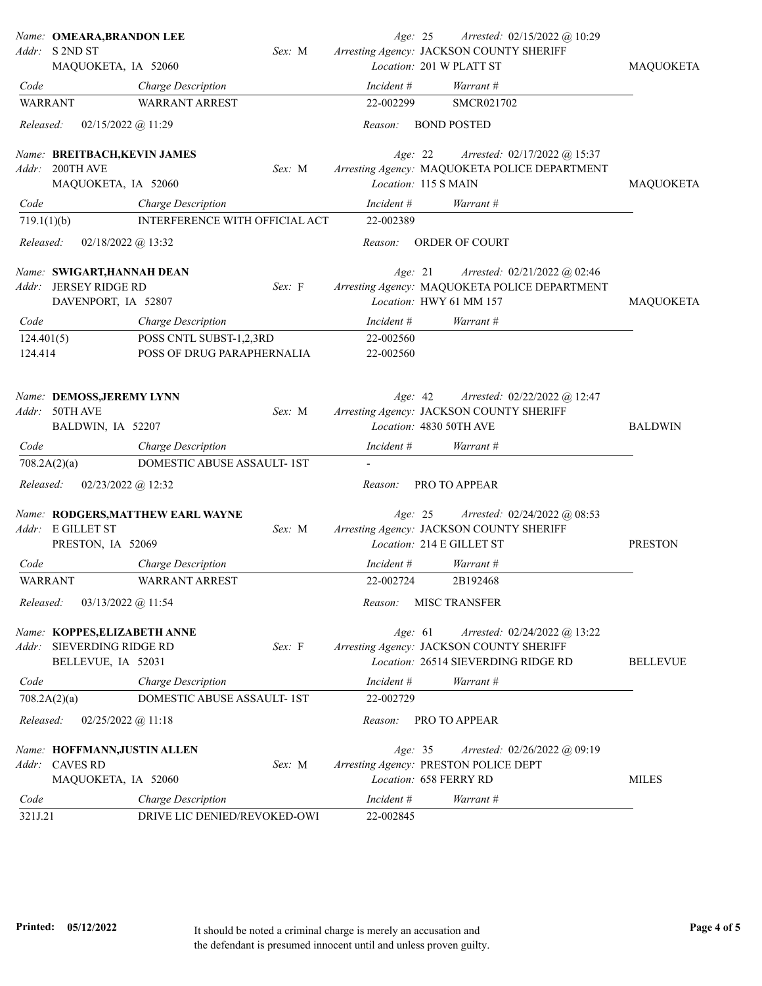|                | Name: OMEARA, BRANDON LEE                            |        | Age: 25    | Arrested: 02/15/2022 @ 10:29                                                    |                  |
|----------------|------------------------------------------------------|--------|------------|---------------------------------------------------------------------------------|------------------|
|                | Addr: S 2ND ST<br>MAQUOKETA, IA 52060                | Sex: M |            | Arresting Agency: JACKSON COUNTY SHERIFF<br>Location: 201 W PLATT ST            | MAQUOKETA        |
| Code           |                                                      |        | Incident # | Warrant #                                                                       |                  |
| <b>WARRANT</b> | Charge Description<br><b>WARRANT ARREST</b>          |        | 22-002299  | SMCR021702                                                                      |                  |
|                |                                                      |        |            |                                                                                 |                  |
| Released:      | 02/15/2022 @ 11:29                                   |        | Reason:    | <b>BOND POSTED</b>                                                              |                  |
|                | Name: BREITBACH, KEVIN JAMES                         |        | Age: 22    | Arrested: 02/17/2022 @ 15:37                                                    |                  |
| Addr:          | 200TH AVE                                            | Sex: M |            | Arresting Agency: MAQUOKETA POLICE DEPARTMENT                                   |                  |
|                | MAQUOKETA, IA 52060                                  |        |            | Location: 115 S MAIN                                                            | <b>MAQUOKETA</b> |
| Code           | Charge Description                                   |        | Incident # | Warrant #                                                                       |                  |
| 719.1(1)(b)    | INTERFERENCE WITH OFFICIAL ACT                       |        | 22-002389  |                                                                                 |                  |
| Released:      | $02/18/2022$ @ 13:32                                 |        | Reason:    | ORDER OF COURT                                                                  |                  |
|                |                                                      |        | Age: 21    |                                                                                 |                  |
| Addr:          | Name: SWIGART, HANNAH DEAN<br><b>JERSEY RIDGE RD</b> | Sex: F |            | Arrested: $02/21/2022$ @ 02:46<br>Arresting Agency: MAQUOKETA POLICE DEPARTMENT |                  |
|                | DAVENPORT, IA 52807                                  |        |            | Location: HWY 61 MM 157                                                         | MAQUOKETA        |
| Code           | Charge Description                                   |        | Incident # | Warrant #                                                                       |                  |
| 124.401(5)     | POSS CNTL SUBST-1,2,3RD                              |        | 22-002560  |                                                                                 |                  |
| 124.414        | POSS OF DRUG PARAPHERNALIA                           |        | 22-002560  |                                                                                 |                  |
|                |                                                      |        |            |                                                                                 |                  |
|                | Name: DEMOSS, JEREMY LYNN                            |        | Age: 42    | Arrested: 02/22/2022 @ 12:47                                                    |                  |
|                | Addr: 50TH AVE                                       | Sex: M |            | Arresting Agency: JACKSON COUNTY SHERIFF                                        |                  |
|                | BALDWIN, IA 52207                                    |        |            | Location: 4830 50TH AVE                                                         | <b>BALDWIN</b>   |
| Code           | Charge Description                                   |        | Incident # | Warrant #                                                                       |                  |
|                | DOMESTIC ABUSE ASSAULT-1ST<br>708.2A(2)(a)           |        |            |                                                                                 |                  |
| Released:      | $02/23/2022$ @ 12:32                                 |        | Reason:    | PRO TO APPEAR                                                                   |                  |
|                | Name: RODGERS, MATTHEW EARL WAYNE                    |        | Age: 25    | Arrested: $02/24/2022$ @ 08:53                                                  |                  |
|                | Addr: E GILLET ST                                    | Sex: M |            | Arresting Agency: JACKSON COUNTY SHERIFF                                        |                  |
|                | PRESTON, IA 52069                                    |        |            | Location: 214 E GILLET ST                                                       | <b>PRESTON</b>   |
| Code           | Charge Description                                   |        | Incident # | Warrant #                                                                       |                  |
| <b>WARRANT</b> | <b>WARRANT ARREST</b>                                |        | 22-002724  | 2B192468                                                                        |                  |
| Released:      | 03/13/2022 @ 11:54                                   |        | Reason:    | <b>MISC TRANSFER</b>                                                            |                  |
|                | Name: KOPPES, ELIZABETH ANNE                         |        | Age: 61    | Arrested: 02/24/2022 @ 13:22                                                    |                  |
| Addr:          | SIEVERDING RIDGE RD                                  | Sex: F |            | Arresting Agency: JACKSON COUNTY SHERIFF                                        |                  |
|                | BELLEVUE, IA 52031                                   |        |            | Location: 26514 SIEVERDING RIDGE RD                                             | <b>BELLEVUE</b>  |
| Code           | Charge Description                                   |        | Incident # | Warrant #                                                                       |                  |
|                | DOMESTIC ABUSE ASSAULT- 1ST<br>708.2A(2)(a)          |        | 22-002729  |                                                                                 |                  |
| Released:      | $02/25/2022$ @ 11:18                                 |        | Reason:    | <b>PRO TO APPEAR</b>                                                            |                  |
|                | Name: HOFFMANN, JUSTIN ALLEN                         |        | Age: 35    | Arrested: 02/26/2022 @ 09:19                                                    |                  |
| Addr:          | <b>CAVES RD</b>                                      | Sex: M |            | Arresting Agency: PRESTON POLICE DEPT                                           |                  |
|                | MAQUOKETA, IA 52060                                  |        |            | Location: 658 FERRY RD                                                          | <b>MILES</b>     |
| Code           | Charge Description                                   |        | Incident # | Warrant #                                                                       |                  |
| 321J.21        | DRIVE LIC DENIED/REVOKED-OWI                         |        | 22-002845  |                                                                                 |                  |
|                |                                                      |        |            |                                                                                 |                  |